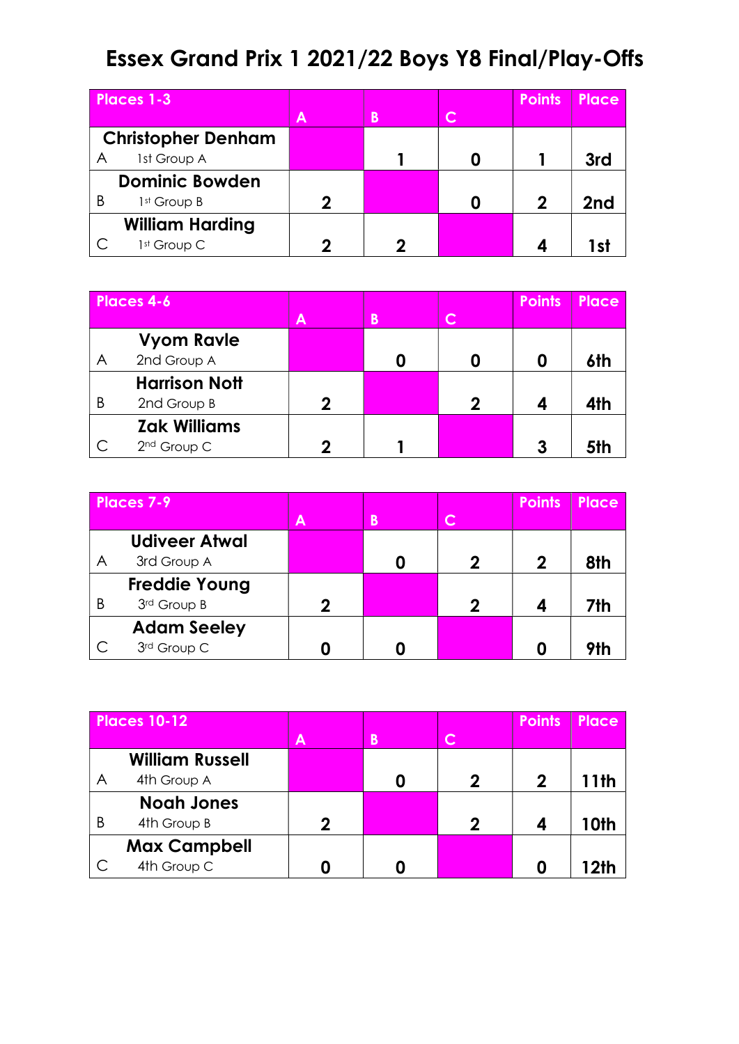## Essex Grand Prix 1 2021/22 Boys Y8 Final/Play-Offs

| <b>Places 1-3</b>         |                        |   |   |              | <b>Points</b> | Place |
|---------------------------|------------------------|---|---|--------------|---------------|-------|
|                           |                        | A | B | $\mathsf{C}$ |               |       |
| <b>Christopher Denham</b> |                        |   |   |              |               |       |
| A                         | 1st Group A            |   |   |              |               | 3rd   |
| <b>Dominic Bowden</b>     |                        |   |   |              |               |       |
| B                         | 1st Group B            | 2 |   |              | 2             | 2nd   |
|                           | <b>William Harding</b> |   |   |              |               |       |
|                           | 1st Group C            |   |   |              |               |       |

| <b>Places 4-6</b> |                         |   |          |     | <b>Points</b> | <b>Place</b> |
|-------------------|-------------------------|---|----------|-----|---------------|--------------|
|                   |                         | A | <b>B</b> | lC. |               |              |
|                   | <b>Vyom Ravle</b>       |   |          |     |               |              |
| A                 | 2nd Group A             |   |          |     |               | 6th          |
|                   | <b>Harrison Nott</b>    |   |          |     |               |              |
| B                 | 2nd Group B             | ŋ |          | 2   |               | 4th          |
|                   | <b>Zak Williams</b>     |   |          |     |               |              |
|                   | 2 <sup>nd</sup> Group C |   |          |     |               | 5th          |

| Places 7-9 |                      |   |   |   | <b>Points</b> | Place |
|------------|----------------------|---|---|---|---------------|-------|
|            |                      | Α | B | C |               |       |
|            | <b>Udiveer Atwal</b> |   |   |   |               |       |
| A          | 3rd Group A          |   |   |   | 2             | 8th   |
|            | <b>Freddie Young</b> |   |   |   |               |       |
| B          | 3rd Group B          | 2 |   | 2 |               | 7th   |
|            | <b>Adam Seeley</b>   |   |   |   |               |       |
|            | 3rd Group C          |   |   |   |               | 9H    |

| <b>Places 10-12</b> |                        |                            |   |              | <b>Points</b> | <b>Place</b> |
|---------------------|------------------------|----------------------------|---|--------------|---------------|--------------|
|                     |                        | Α                          | B | $\mathsf{C}$ |               |              |
|                     | <b>William Russell</b> |                            |   |              |               |              |
| A                   | 4th Group A            |                            |   | 2            | 2             | 11th         |
|                     | <b>Noah Jones</b>      |                            |   |              |               |              |
| B                   | 4th Group B            | $\boldsymbol{\mathcal{D}}$ |   | 2            |               | 10th         |
|                     | <b>Max Campbell</b>    |                            |   |              |               |              |
|                     | 4th Group C            |                            |   |              |               | 12th         |